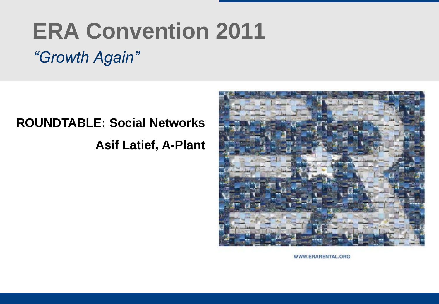# **ERA Convention 2011**

*"Growth Again"*

#### **ROUNDTABLE: Social Networks**

**Asif Latief, A-Plant**



WWW.ERARENTAL.ORG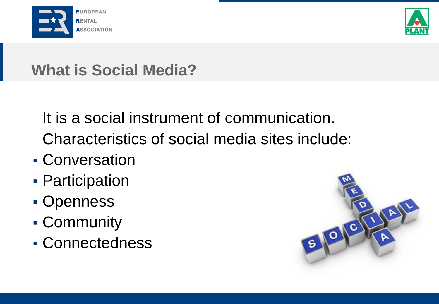



# **What is Social Media?**

It is a social instrument of communication. Characteristics of social media sites include:

- Conversation
- **Participation**
- Openness
- Community
- Connectedness

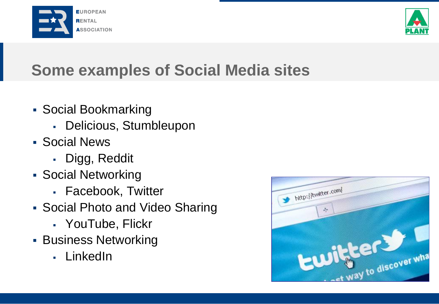



# **Some examples of Social Media sites**

- Social Bookmarking
	- Delicious, Stumbleupon
- Social News
	- Digg, Reddit
- **Social Networking** 
	- Facebook, Twitter
- Social Photo and Video Sharing
	- YouTube, Flickr
- **Business Networking** 
	- LinkedIn

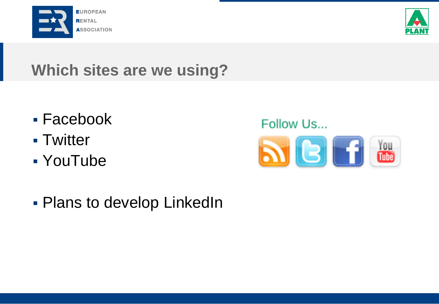



# **Which sites are we using?**

- Facebook
- **Twitter**
- YouTube

Follow Us...



**- Plans to develop LinkedIn**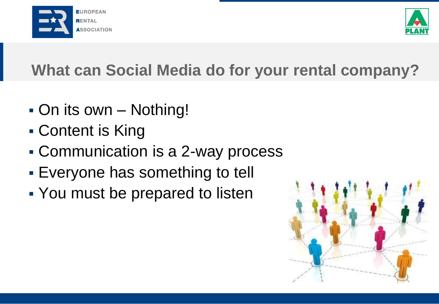



# **What can Social Media do for your rental company?**

- On its own Nothing!
- Content is King
- Communication is a 2-way process
- Everyone has something to tell
- You must be prepared to listen

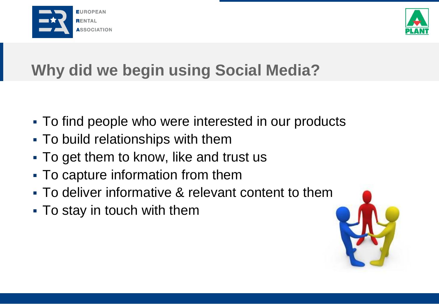



# **Why did we begin using Social Media?**

- To find people who were interested in our products
- To build relationships with them
- To get them to know, like and trust us
- **To capture information from them**
- To deliver informative & relevant content to them
- **To stay in touch with them**

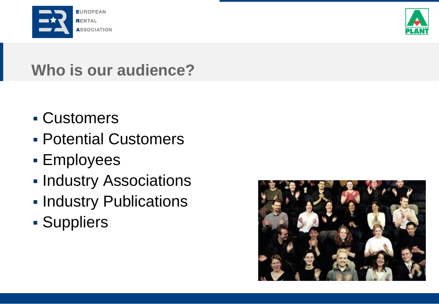



# **Who is our audience?**

- Customers
- Potential Customers
- Employees
- **Industry Associations**
- **Industry Publications**
- Suppliers

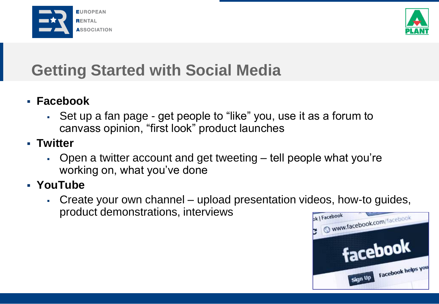



# **Getting Started with Social Media**

- **Facebook**
	- Set up a fan page get people to "like" you, use it as a forum to canvass opinion, "first look" product launches
- **Twitter**
	- Open a twitter account and get tweeting tell people what you're working on, what you've done
- **YouTube**
	- Create your own channel upload presentation videos, how-to guides, product demonstrations, interviews

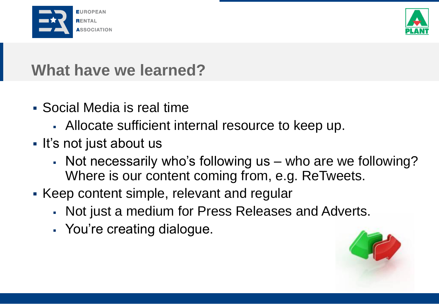



## **What have we learned?**

- Social Media is real time
	- Allocate sufficient internal resource to keep up.
- **It's not just about us** 
	- Not necessarily who's following us who are we following? Where is our content coming from, e.g. ReTweets.
- Keep content simple, relevant and regular
	- Not just a medium for Press Releases and Adverts.
	- You're creating dialogue.

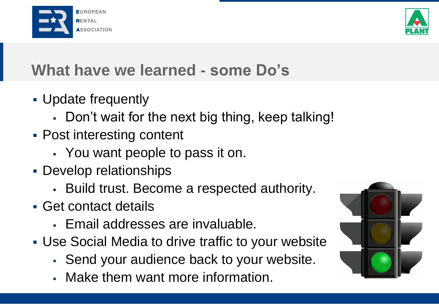



# **What have we learned - some Do's**

- Update frequently
	- Don't wait for the next big thing, keep talking!
- Post interesting content
	- You want people to pass it on.
- Develop relationships
	- Build trust. Become a respected authority.
- Get contact details
	- Email addresses are invaluable.
- Use Social Media to drive traffic to your website
	- Send your audience back to your website.
	- Make them want more information.

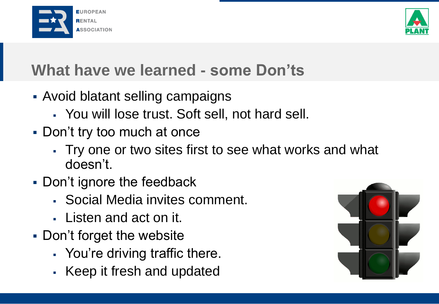



# **What have we learned - some Don'ts**

- Avoid blatant selling campaigns
	- You will lose trust. Soft sell, not hard sell.
- Don't try too much at once
	- Try one or two sites first to see what works and what doesn't.
- Don't ignore the feedback
	- Social Media invites comment.
	- Listen and act on it.
- **Don't forget the website** 
	- You're driving traffic there.
	- Keep it fresh and updated

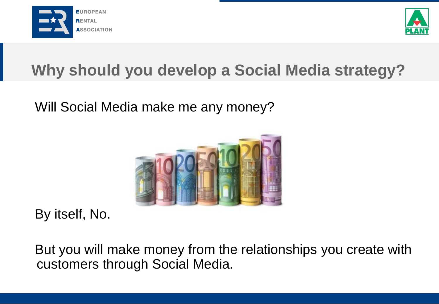



# **Why should you develop a Social Media strategy?**

Will Social Media make me any money?



By itself, No.

But you will make money from the relationships you create with customers through Social Media.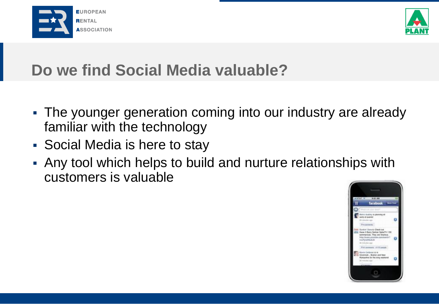



# **Do we find Social Media valuable?**

- The younger generation coming into our industry are already familiar with the technology
- **Social Media is here to stay**
- Any tool which helps to build and nurture relationships with customers is valuable

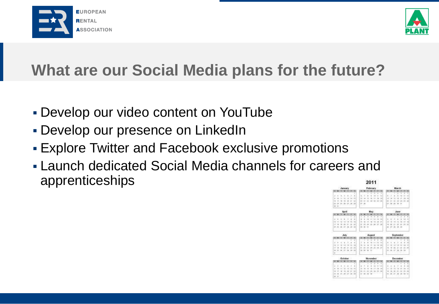



# **What are our Social Media plans for the future?**

- Develop our video content on YouTube
- Develop our presence on LinkedIn
- Explore Twitter and Facebook exclusive promotions
- Launch dedicated Social Media channels for careers and apprenticeships

|                            |       |             |          |            |                 |               |              |          |   |                          | 2011   |                   |               |               |          |                   |              |               |      |           |  |
|----------------------------|-------|-------------|----------|------------|-----------------|---------------|--------------|----------|---|--------------------------|--------|-------------------|---------------|---------------|----------|-------------------|--------------|---------------|------|-----------|--|
| <b>PROGRESS</b><br>January |       |             |          |            |                 |               |              | February |   |                          |        |                   |               |               | March-   |                   |              |               |      |           |  |
|                            |       |             |          |            |                 |               |              |          |   |                          |        |                   |               |               |          |                   |              |               |      |           |  |
|                            |       |             |          |            |                 |               |              |          |   |                          |        | ï                 | ×             |               |          |                   |              |               | ٠    |           |  |
| z.                         |       |             |          | ٠          | ×               | $-8$          | ×            |          |   |                          | 18     | H                 | $\frac{1}{2}$ | ×             |          |                   |              | ÷             | ÷    | 18        |  |
| ٠                          |       | 11          | w        |            |                 | 13 14 15      | $\mathbb{I}$ |          |   |                          | $\sim$ | 18                | 18            | u             | m        |                   |              | 12            |      | 18.119    |  |
| $\frac{1}{2}$              | 18    |             |          |            | 11              | $12^{\circ}$  | 15           | Ħ        | ы |                          | 22.74  |                   | 15:15         | ×             |          |                   |              | <b>TM</b>     |      | $15 - 18$ |  |
| TP.                        | 34    |             |          |            | 37.18           | 12            | İΤ           | 18<br>w  |   |                          |        |                   |               | m.            | 19       |                   |              |               |      |           |  |
| 18, 13,                    |       |             |          |            |                 |               |              |          |   |                          |        |                   |               |               |          |                   |              |               |      |           |  |
|                            |       |             | April    |            |                 |               |              | Hay.     |   |                          |        |                   |               |               | June     |                   |              |               |      |           |  |
|                            |       |             |          |            | ۱               |               |              |          |   |                          |        |                   |               |               |          |                   |              |               |      |           |  |
|                            |       |             |          |            |                 | r             |              |          |   |                          |        |                   | ٠             |               |          |                   |              |               |      |           |  |
|                            |       |             |          |            | ١               | ×             |              |          |   |                          |        | u                 | 16            | ä             |          |                   |              | b             | m    | ÷         |  |
|                            |       | 18-11-12    | $\cdots$ | 14         |                 | $15 - 18$     | 11           |          |   |                          | 18     | 1 E               | $^{11}$       | 11            |          | $\rightarrow$     | $\mathbb{Z}$ | $\frac{1}{2}$ | 11   | 18        |  |
| w                          | 18.19 |             |          | 278        | 12 <sup>2</sup> | $12^{1}$      | 11           | 23       |   |                          |        |                   | 18            |               |          | 21                | 111          | $22 -$        | 340  | 11        |  |
|                            |       | 14 J1 J2 J2 |          | $-100$     | 18              | $10-$         |              | 15 80    |   |                          |        |                   |               | M             | 23       |                   |              | 18            |      |           |  |
|                            |       |             | Ady.     |            |                 |               |              |          |   | <b>August</b>            |        |                   |               |               |          | <b>Reptendent</b> |              |               |      |           |  |
|                            |       |             |          |            |                 |               |              |          |   |                          |        |                   |               |               |          |                   |              |               |      |           |  |
|                            |       |             |          |            |                 | r             |              |          |   |                          |        | ī                 |               |               |          |                   |              |               |      | ٠         |  |
| ٠                          |       |             |          |            |                 | u             | t            |          |   |                          | EX     | $+1$              | ÷             |               |          |                   |              |               |      | ū         |  |
| i s                        | Ħ     |             |          | 1.4        | 11              | $\frac{1}{2}$ | 14           |          |   |                          |        | 18.4              | 19            | 11            |          |                   | w            | 11            |      | 11        |  |
| 12                         |       |             |          |            | 10              | 10            | n            | 33       |   | $\overline{\phantom{a}}$ |        | $-18$             | 4T            | 14            |          |                   |              | 55            |      | $20 - 34$ |  |
| $\sim$                     | 21    | $^{34}$     | 31       | $^{12}$    | 16              | 15            |              | 16 34    |   | 11<br>×                  |        |                   |               | 31            | $^{34}$  | $-23$             | 24           | $-28$         | ii   |           |  |
| ×                          |       |             |          |            |                 |               |              |          |   |                          |        |                   |               |               |          |                   |              |               |      |           |  |
|                            |       |             |          | October :  |                 |               |              | November |   |                          |        |                   |               |               | December |                   |              |               |      |           |  |
|                            |       |             |          |            |                 |               |              |          |   |                          |        |                   |               |               |          |                   |              |               |      |           |  |
|                            |       |             |          |            |                 |               |              |          |   |                          |        |                   |               |               |          |                   |              |               |      |           |  |
| ٠                          |       |             |          |            |                 | k             |              |          |   |                          | u      | u                 | 35            | ٠             |          |                   |              |               |      | w         |  |
|                            |       |             |          |            |                 | $\mathbf{r}$  |              |          |   |                          |        | 18                | 18            | 'n            | 14       | m                 | 14           | 18            |      | $\bar{x}$ |  |
| 18                         |       |             |          |            |                 | 66            | i.           |          |   |                          |        | 34, 35,<br>,,,,,, | 34            | ы             |          | $-24$             | $\infty$     | $-24$         |      | 34        |  |
| $\sim$                     | 34    |             | 25.126   | $-20 - 16$ |                 | ಾ             | 12           | 34       |   |                          |        |                   |               | $\mathcal{X}$ |          | $M - 20$          | 24           | 16            | h br | 31        |  |
| $10^{6} - 3.4$             |       |             |          |            |                 |               |              |          |   |                          |        |                   |               |               |          |                   |              |               |      |           |  |